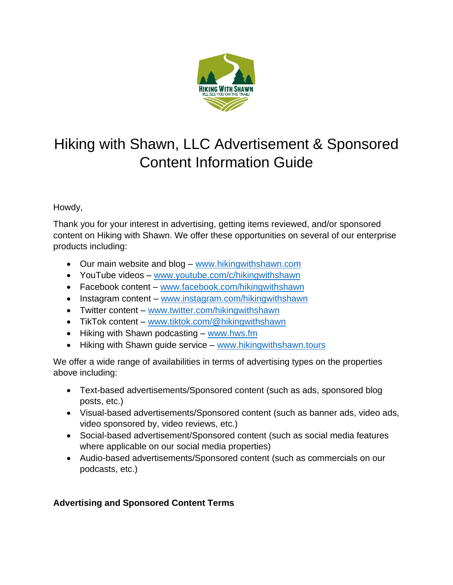

# Hiking with Shawn, LLC Advertisement & Sponsored Content Information Guide

# Howdy,

Thank you for your interest in advertising, getting items reviewed, and/or sponsored content on Hiking with Shawn. We offer these opportunities on several of our enterprise products including:

- Our main website and blog [www.hikingwithshawn.com](http://www.hikingwithshawn.com/)
- YouTube videos [www.youtube.com/c/hikingwithshawn](http://www.youtube.com/c/hikingwithshawn)
- Facebook content [www.facebook.com/hikingwithshawn](http://www.facebook.com/hikingwithshawn)
- Instagram content [www.instagram.com/hikingwithshawn](http://www.instagram.com/hikingwithshawn)
- Twitter content [www.twitter.com/hikingwithshawn](http://www.twitter.com/hikingwithshawn)
- TikTok content [www.tiktok.com/@hikingwithshawn](http://www.tiktok.com/@hikingwithshawn)
- Hiking with Shawn podcasting [www.hws.fm](http://www.hws.fm/)
- Hiking with Shawn guide service [www.hikingwithshawn.tours](http://www.hikingwithshawn.tours/)

We offer a wide range of availabilities in terms of advertising types on the properties above including:

- Text-based advertisements/Sponsored content (such as ads, sponsored blog posts, etc.)
- Visual-based advertisements/Sponsored content (such as banner ads, video ads, video sponsored by, video reviews, etc.)
- Social-based advertisement/Sponsored content (such as social media features where applicable on our social media properties)
- Audio-based advertisements/Sponsored content (such as commercials on our podcasts, etc.)

# **Advertising and Sponsored Content Terms**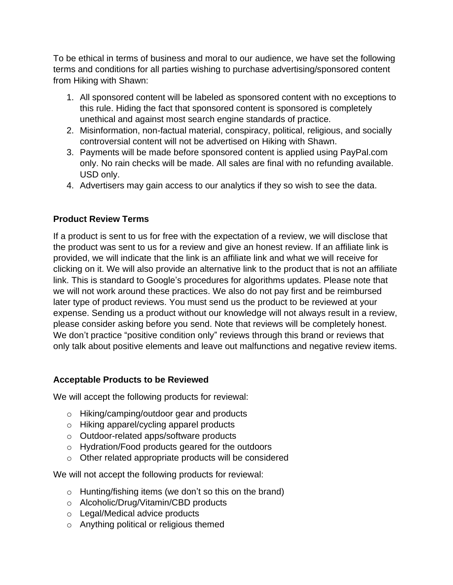To be ethical in terms of business and moral to our audience, we have set the following terms and conditions for all parties wishing to purchase advertising/sponsored content from Hiking with Shawn:

- 1. All sponsored content will be labeled as sponsored content with no exceptions to this rule. Hiding the fact that sponsored content is sponsored is completely unethical and against most search engine standards of practice.
- 2. Misinformation, non-factual material, conspiracy, political, religious, and socially controversial content will not be advertised on Hiking with Shawn.
- 3. Payments will be made before sponsored content is applied using PayPal.com only. No rain checks will be made. All sales are final with no refunding available. USD only.
- 4. Advertisers may gain access to our analytics if they so wish to see the data.

### **Product Review Terms**

If a product is sent to us for free with the expectation of a review, we will disclose that the product was sent to us for a review and give an honest review. If an affiliate link is provided, we will indicate that the link is an affiliate link and what we will receive for clicking on it. We will also provide an alternative link to the product that is not an affiliate link. This is standard to Google's procedures for algorithms updates. Please note that we will not work around these practices. We also do not pay first and be reimbursed later type of product reviews. You must send us the product to be reviewed at your expense. Sending us a product without our knowledge will not always result in a review, please consider asking before you send. Note that reviews will be completely honest. We don't practice "positive condition only" reviews through this brand or reviews that only talk about positive elements and leave out malfunctions and negative review items.

#### **Acceptable Products to be Reviewed**

We will accept the following products for reviewal:

- o Hiking/camping/outdoor gear and products
- o Hiking apparel/cycling apparel products
- o Outdoor-related apps/software products
- o Hydration/Food products geared for the outdoors
- o Other related appropriate products will be considered

We will not accept the following products for reviewal:

- o Hunting/fishing items (we don't so this on the brand)
- o Alcoholic/Drug/Vitamin/CBD products
- o Legal/Medical advice products
- o Anything political or religious themed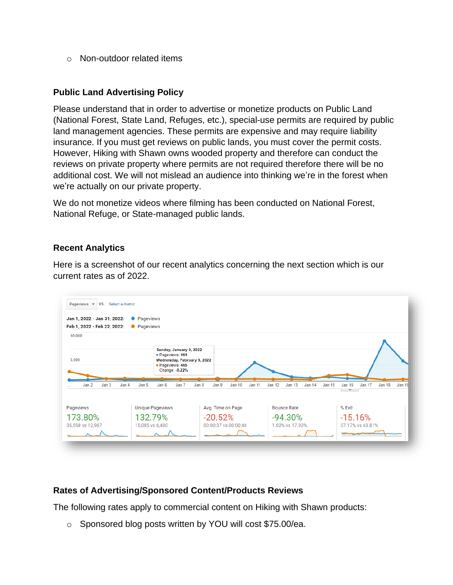o Non-outdoor related items

#### **Public Land Advertising Policy**

Please understand that in order to advertise or monetize products on Public Land (National Forest, State Land, Refuges, etc.), special-use permits are required by public land management agencies. These permits are expensive and may require liability insurance. If you must get reviews on public lands, you must cover the permit costs. However, Hiking with Shawn owns wooded property and therefore can conduct the reviews on private property where permits are not required therefore there will be no additional cost. We will not mislead an audience into thinking we're in the forest when we're actually on our private property.

We do not monetize videos where filming has been conducted on National Forest, National Refuge, or State-managed public lands.

#### **Recent Analytics**

Here is a screenshot of our recent analytics concerning the next section which is our current rates as of 2022.



#### **Rates of Advertising/Sponsored Content/Products Reviews**

The following rates apply to commercial content on Hiking with Shawn products:

o Sponsored blog posts written by YOU will cost \$75.00/ea.